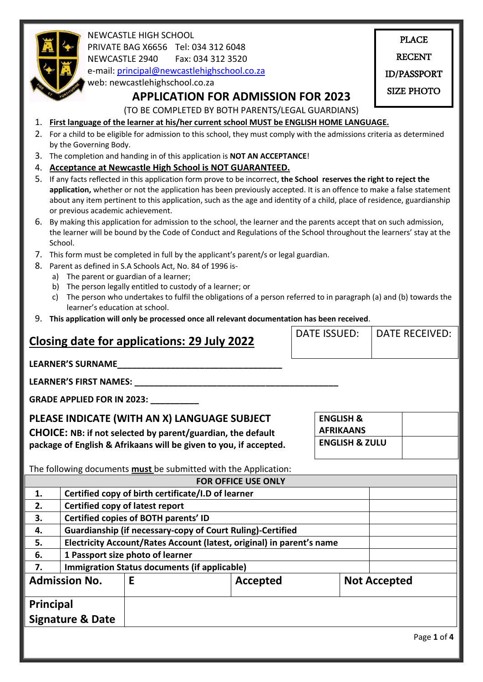

NEWCASTLE HIGH SCHOOL PRIVATE BAG X6656 Tel: 034 312 6048 NEWCASTLE 2940 Fax: 034 312 3520

e-mail: [principal@newcastlehighschool.co.za](mailto:principal@newcastlehighschool.co.za)

web: newcastlehighschool.co.za

PLACE RECENT ID/PASSPORT SIZE PHOTO

OF LEARNER

## **APPLICATION FOR ADMISSION FOR 2023**

# (TO BE COMPLETED BY BOTH PARENTS/LEGAL GUARDIANS)

## 1. **First language of the learner at his/her current school MUST be ENGLISH HOME LANGUAGE.**

- HERE 2. For a child to be eligible for admission to this school, they must comply with the admissions criteria as determined by the Governing Body.
- 3. The completion and handing in of this application is **NOT AN ACCEPTANCE**!
- 4. **Acceptance at Newcastle High School is NOT GUARANTEED.**
- 5. If any facts reflected in this application form prove to be incorrect, **the School reserves the right to reject the application,** whether or not the application has been previously accepted. It is an offence to make a false statement about any item pertinent to this application, such as the age and identity of a child, place of residence, guardianship or previous academic achievement.
- 6. By making this application for admission to the school, the learner and the parents accept that on such admission, the learner will be bound by the Code of Conduct and Regulations of the School throughout the learners' stay at the School.
- 7. This form must be completed in full by the applicant's parent/s or legal guardian.
- 8. Parent as defined in S.A Schools Act, No. 84 of 1996 is
	- a) The parent or guardian of a learner;
	- b) The person legally entitled to custody of a learner; or
	- c) The person who undertakes to fulfil the obligations of a person referred to in paragraph (a) and (b) towards the learner's education at school.
- 9. **This application will only be processed once all relevant documentation has been received**.

| Closing date for applications: 29 July 2022                                                                                                                                             |                                                                   |                                                                       | <b>DATE ISSUED:</b>                      | <b>DATE RECEIVED:</b>     |                     |  |
|-----------------------------------------------------------------------------------------------------------------------------------------------------------------------------------------|-------------------------------------------------------------------|-----------------------------------------------------------------------|------------------------------------------|---------------------------|---------------------|--|
|                                                                                                                                                                                         |                                                                   | LEARNER'S SURNAME                                                     |                                          |                           |                     |  |
|                                                                                                                                                                                         |                                                                   |                                                                       |                                          |                           |                     |  |
| <b>GRADE APPLIED FOR IN 2023: __________</b>                                                                                                                                            |                                                                   |                                                                       |                                          |                           |                     |  |
| PLEASE INDICATE (WITH AN X) LANGUAGE SUBJECT<br><b>CHOICE:</b> NB: if not selected by parent/guardian, the default<br>package of English & Afrikaans will be given to you, if accepted. |                                                                   |                                                                       | <b>ENGLISH &amp;</b><br><b>AFRIKAANS</b> | <b>ENGLISH &amp; ZULU</b> |                     |  |
| The following documents <b>must</b> be submitted with the Application:                                                                                                                  |                                                                   |                                                                       |                                          |                           |                     |  |
|                                                                                                                                                                                         |                                                                   |                                                                       | <b>FOR OFFICE USE ONLY</b>               |                           |                     |  |
| 1.                                                                                                                                                                                      | Certified copy of birth certificate/I.D of learner                |                                                                       |                                          |                           |                     |  |
| 2.                                                                                                                                                                                      | <b>Certified copy of latest report</b>                            |                                                                       |                                          |                           |                     |  |
| 3.                                                                                                                                                                                      | Certified copies of BOTH parents' ID                              |                                                                       |                                          |                           |                     |  |
| 4.                                                                                                                                                                                      | <b>Guardianship (if necessary-copy of Court Ruling)-Certified</b> |                                                                       |                                          |                           |                     |  |
| 5.                                                                                                                                                                                      |                                                                   | Electricity Account/Rates Account (latest, original) in parent's name |                                          |                           |                     |  |
| 6.                                                                                                                                                                                      |                                                                   | 1 Passport size photo of learner                                      |                                          |                           |                     |  |
| 7.                                                                                                                                                                                      |                                                                   | <b>Immigration Status documents (if applicable)</b>                   |                                          |                           |                     |  |
| <b>Admission No.</b>                                                                                                                                                                    |                                                                   | E                                                                     | Accepted                                 |                           | <b>Not Accepted</b> |  |
| <b>Principal</b>                                                                                                                                                                        |                                                                   |                                                                       |                                          |                           |                     |  |
| <b>Signature &amp; Date</b>                                                                                                                                                             |                                                                   |                                                                       |                                          |                           |                     |  |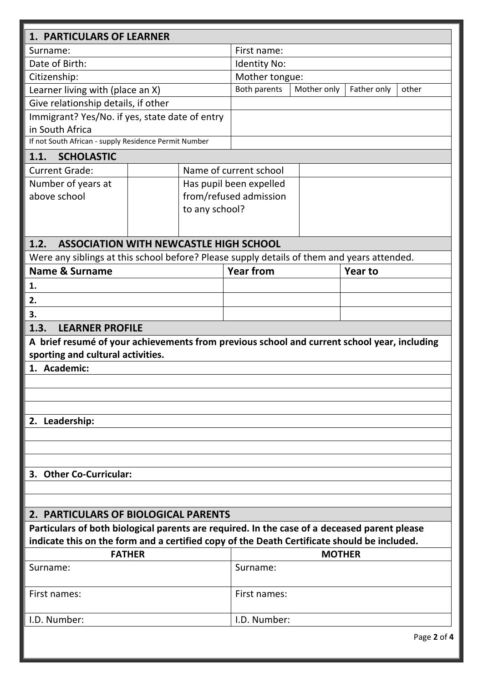| <b>1. PARTICULARS OF LEARNER</b>                                                                                                                                                            |                |                         |             |                |             |
|---------------------------------------------------------------------------------------------------------------------------------------------------------------------------------------------|----------------|-------------------------|-------------|----------------|-------------|
| Surname:                                                                                                                                                                                    | First name:    |                         |             |                |             |
| Date of Birth:                                                                                                                                                                              | Identity No:   |                         |             |                |             |
| Citizenship:                                                                                                                                                                                | Mother tongue: |                         |             |                |             |
| Learner living with (place an X)                                                                                                                                                            |                | Both parents            | Mother only | Father only    | other       |
| Give relationship details, if other                                                                                                                                                         |                |                         |             |                |             |
| Immigrant? Yes/No. if yes, state date of entry                                                                                                                                              |                |                         |             |                |             |
| in South Africa                                                                                                                                                                             |                |                         |             |                |             |
| If not South African - supply Residence Permit Number                                                                                                                                       |                |                         |             |                |             |
| <b>SCHOLASTIC</b><br>1.1.                                                                                                                                                                   |                |                         |             |                |             |
| <b>Current Grade:</b>                                                                                                                                                                       |                | Name of current school  |             |                |             |
| Number of years at                                                                                                                                                                          |                | Has pupil been expelled |             |                |             |
| above school                                                                                                                                                                                |                | from/refused admission  |             |                |             |
|                                                                                                                                                                                             | to any school? |                         |             |                |             |
|                                                                                                                                                                                             |                |                         |             |                |             |
| <b>ASSOCIATION WITH NEWCASTLE HIGH SCHOOL</b><br>1.2.                                                                                                                                       |                |                         |             |                |             |
| Were any siblings at this school before? Please supply details of them and years attended.                                                                                                  |                |                         |             |                |             |
| <b>Name &amp; Surname</b>                                                                                                                                                                   |                | <b>Year from</b>        |             | <b>Year to</b> |             |
| 1.                                                                                                                                                                                          |                |                         |             |                |             |
| 2.                                                                                                                                                                                          |                |                         |             |                |             |
|                                                                                                                                                                                             |                |                         |             |                |             |
| 3.<br>1.3.                                                                                                                                                                                  |                |                         |             |                |             |
| <b>LEARNER PROFILE</b>                                                                                                                                                                      |                |                         |             |                |             |
| A brief resumé of your achievements from previous school and current school year, including<br>sporting and cultural activities.                                                            |                |                         |             |                |             |
| 1. Academic:                                                                                                                                                                                |                |                         |             |                |             |
|                                                                                                                                                                                             |                |                         |             |                |             |
|                                                                                                                                                                                             |                |                         |             |                |             |
|                                                                                                                                                                                             |                |                         |             |                |             |
| 2. Leadership:                                                                                                                                                                              |                |                         |             |                |             |
|                                                                                                                                                                                             |                |                         |             |                |             |
|                                                                                                                                                                                             |                |                         |             |                |             |
|                                                                                                                                                                                             |                |                         |             |                |             |
| 3. Other Co-Curricular:                                                                                                                                                                     |                |                         |             |                |             |
|                                                                                                                                                                                             |                |                         |             |                |             |
|                                                                                                                                                                                             |                |                         |             |                |             |
| 2. PARTICULARS OF BIOLOGICAL PARENTS                                                                                                                                                        |                |                         |             |                |             |
| Particulars of both biological parents are required. In the case of a deceased parent please<br>indicate this on the form and a certified copy of the Death Certificate should be included. |                |                         |             |                |             |
| <b>FATHER</b>                                                                                                                                                                               |                |                         |             | <b>MOTHER</b>  |             |
| Surname:                                                                                                                                                                                    |                | Surname:                |             |                |             |
|                                                                                                                                                                                             |                |                         |             |                |             |
| First names:                                                                                                                                                                                |                | First names:            |             |                |             |
|                                                                                                                                                                                             |                |                         |             |                |             |
| I.D. Number:                                                                                                                                                                                |                | I.D. Number:            |             |                |             |
|                                                                                                                                                                                             |                |                         |             |                | Page 2 of 4 |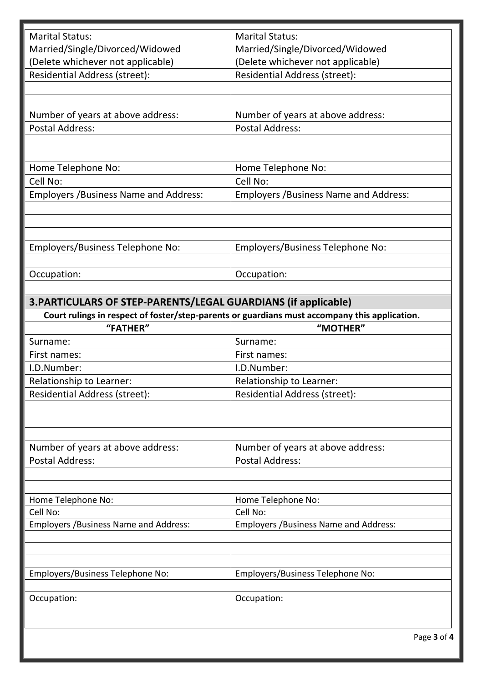| <b>Marital Status:</b>                                         | <b>Marital Status:</b>                                                                                    |
|----------------------------------------------------------------|-----------------------------------------------------------------------------------------------------------|
| Married/Single/Divorced/Widowed                                | Married/Single/Divorced/Widowed                                                                           |
| (Delete whichever not applicable)                              | (Delete whichever not applicable)                                                                         |
| <b>Residential Address (street):</b>                           | Residential Address (street):                                                                             |
|                                                                |                                                                                                           |
|                                                                |                                                                                                           |
| Number of years at above address:                              | Number of years at above address:                                                                         |
| <b>Postal Address:</b>                                         | <b>Postal Address:</b>                                                                                    |
|                                                                |                                                                                                           |
|                                                                |                                                                                                           |
| Home Telephone No:                                             | Home Telephone No:                                                                                        |
| Cell No:                                                       | Cell No:                                                                                                  |
| <b>Employers / Business Name and Address:</b>                  | <b>Employers / Business Name and Address:</b>                                                             |
|                                                                |                                                                                                           |
|                                                                |                                                                                                           |
|                                                                |                                                                                                           |
| Employers/Business Telephone No:                               | Employers/Business Telephone No:                                                                          |
|                                                                |                                                                                                           |
| Occupation:                                                    | Occupation:                                                                                               |
|                                                                |                                                                                                           |
|                                                                |                                                                                                           |
| 3. PARTICULARS OF STEP-PARENTS/LEGAL GUARDIANS (if applicable) |                                                                                                           |
| "FATHER"                                                       | Court rulings in respect of foster/step-parents or guardians must accompany this application.<br>"MOTHER" |
|                                                                |                                                                                                           |
| Surname:                                                       | Surname:                                                                                                  |
| First names:                                                   | First names:                                                                                              |
| I.D.Number:                                                    | I.D.Number:                                                                                               |
| Relationship to Learner:                                       | Relationship to Learner:                                                                                  |
| Residential Address (street):                                  | <b>Residential Address (street):</b>                                                                      |
|                                                                |                                                                                                           |
|                                                                |                                                                                                           |
|                                                                |                                                                                                           |
| Number of years at above address:                              | Number of years at above address:                                                                         |
| <b>Postal Address:</b>                                         | <b>Postal Address:</b>                                                                                    |
|                                                                |                                                                                                           |
|                                                                |                                                                                                           |
| Home Telephone No:                                             | Home Telephone No:                                                                                        |
| Cell No:                                                       | Cell No:                                                                                                  |
| <b>Employers / Business Name and Address:</b>                  | <b>Employers / Business Name and Address:</b>                                                             |
|                                                                |                                                                                                           |
|                                                                |                                                                                                           |
|                                                                |                                                                                                           |
| Employers/Business Telephone No:                               | Employers/Business Telephone No:                                                                          |
|                                                                |                                                                                                           |
| Occupation:                                                    | Occupation:                                                                                               |
|                                                                |                                                                                                           |
|                                                                |                                                                                                           |